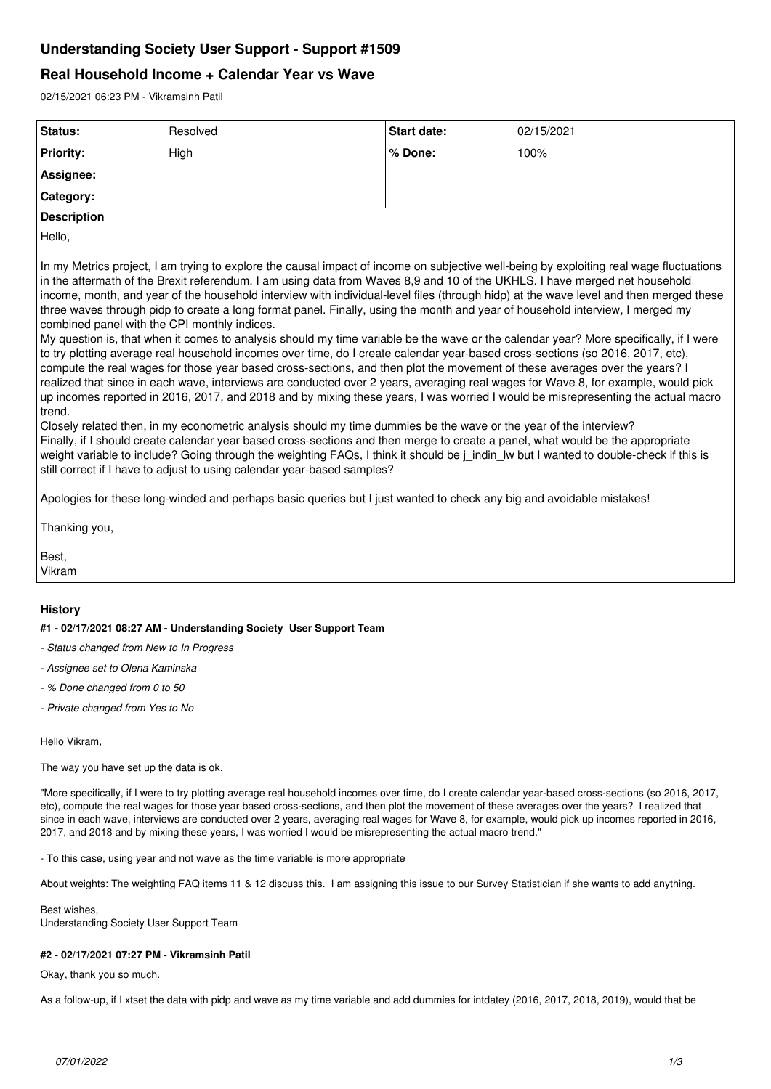# **Understanding Society User Support - Support #1509**

# **Real Household Income + Calendar Year vs Wave**

02/15/2021 06:23 PM - Vikramsinh Patil

| Status:                                    | Resolved                                                                                                                | Start date:                                                                                                                                                                                                                               | 02/15/2021                                                                                                                                                                                                                                                                                                                                                                                                                                                                                                                                                                                                                                                                                                                                                                                                                                                                                                                                                                                                                                                                                                                                                                                                                                                                                                                                                                                                                                                                                                   |
|--------------------------------------------|-------------------------------------------------------------------------------------------------------------------------|-------------------------------------------------------------------------------------------------------------------------------------------------------------------------------------------------------------------------------------------|--------------------------------------------------------------------------------------------------------------------------------------------------------------------------------------------------------------------------------------------------------------------------------------------------------------------------------------------------------------------------------------------------------------------------------------------------------------------------------------------------------------------------------------------------------------------------------------------------------------------------------------------------------------------------------------------------------------------------------------------------------------------------------------------------------------------------------------------------------------------------------------------------------------------------------------------------------------------------------------------------------------------------------------------------------------------------------------------------------------------------------------------------------------------------------------------------------------------------------------------------------------------------------------------------------------------------------------------------------------------------------------------------------------------------------------------------------------------------------------------------------------|
| <b>Priority:</b>                           | High                                                                                                                    | % Done:                                                                                                                                                                                                                                   | 100%                                                                                                                                                                                                                                                                                                                                                                                                                                                                                                                                                                                                                                                                                                                                                                                                                                                                                                                                                                                                                                                                                                                                                                                                                                                                                                                                                                                                                                                                                                         |
| Assignee:                                  |                                                                                                                         |                                                                                                                                                                                                                                           |                                                                                                                                                                                                                                                                                                                                                                                                                                                                                                                                                                                                                                                                                                                                                                                                                                                                                                                                                                                                                                                                                                                                                                                                                                                                                                                                                                                                                                                                                                              |
| Category:                                  |                                                                                                                         |                                                                                                                                                                                                                                           |                                                                                                                                                                                                                                                                                                                                                                                                                                                                                                                                                                                                                                                                                                                                                                                                                                                                                                                                                                                                                                                                                                                                                                                                                                                                                                                                                                                                                                                                                                              |
| <b>Description</b>                         |                                                                                                                         |                                                                                                                                                                                                                                           |                                                                                                                                                                                                                                                                                                                                                                                                                                                                                                                                                                                                                                                                                                                                                                                                                                                                                                                                                                                                                                                                                                                                                                                                                                                                                                                                                                                                                                                                                                              |
| Hello,                                     |                                                                                                                         |                                                                                                                                                                                                                                           |                                                                                                                                                                                                                                                                                                                                                                                                                                                                                                                                                                                                                                                                                                                                                                                                                                                                                                                                                                                                                                                                                                                                                                                                                                                                                                                                                                                                                                                                                                              |
| trend.<br>Thanking you,<br>Best.<br>Vikram | combined panel with the CPI monthly indices.<br>still correct if I have to adjust to using calendar year-based samples? | Closely related then, in my econometric analysis should my time dummies be the wave or the year of the interview?<br>Apologies for these long-winded and perhaps basic queries but I just wanted to check any big and avoidable mistakes! | In my Metrics project, I am trying to explore the causal impact of income on subjective well-being by exploiting real wage fluctuations<br>in the aftermath of the Brexit referendum. I am using data from Waves 8,9 and 10 of the UKHLS. I have merged net household<br>income, month, and year of the household interview with individual-level files (through hidp) at the wave level and then merged these<br>three waves through pidp to create a long format panel. Finally, using the month and year of household interview, I merged my<br>My question is, that when it comes to analysis should my time variable be the wave or the calendar year? More specifically, if I were<br>to try plotting average real household incomes over time, do I create calendar year-based cross-sections (so 2016, 2017, etc),<br>compute the real wages for those year based cross-sections, and then plot the movement of these averages over the years? I<br>realized that since in each wave, interviews are conducted over 2 years, averaging real wages for Wave 8, for example, would pick<br>up incomes reported in 2016, 2017, and 2018 and by mixing these years, I was worried I would be misrepresenting the actual macro<br>Finally, if I should create calendar year based cross-sections and then merge to create a panel, what would be the appropriate<br>weight variable to include? Going through the weighting FAQs, I think it should be j_indin_lw but I wanted to double-check if this is |
| <b>History</b>                             |                                                                                                                         |                                                                                                                                                                                                                                           |                                                                                                                                                                                                                                                                                                                                                                                                                                                                                                                                                                                                                                                                                                                                                                                                                                                                                                                                                                                                                                                                                                                                                                                                                                                                                                                                                                                                                                                                                                              |
|                                            | #1 - 02/17/2021 08:27 AM - Understanding Society User Support Team                                                      |                                                                                                                                                                                                                                           |                                                                                                                                                                                                                                                                                                                                                                                                                                                                                                                                                                                                                                                                                                                                                                                                                                                                                                                                                                                                                                                                                                                                                                                                                                                                                                                                                                                                                                                                                                              |
|                                            | - Status changed from New to In Progress                                                                                |                                                                                                                                                                                                                                           |                                                                                                                                                                                                                                                                                                                                                                                                                                                                                                                                                                                                                                                                                                                                                                                                                                                                                                                                                                                                                                                                                                                                                                                                                                                                                                                                                                                                                                                                                                              |
| - Assignee set to Olena Kaminska           |                                                                                                                         |                                                                                                                                                                                                                                           |                                                                                                                                                                                                                                                                                                                                                                                                                                                                                                                                                                                                                                                                                                                                                                                                                                                                                                                                                                                                                                                                                                                                                                                                                                                                                                                                                                                                                                                                                                              |
| - % Done changed from 0 to 50              |                                                                                                                         |                                                                                                                                                                                                                                           |                                                                                                                                                                                                                                                                                                                                                                                                                                                                                                                                                                                                                                                                                                                                                                                                                                                                                                                                                                                                                                                                                                                                                                                                                                                                                                                                                                                                                                                                                                              |
| - Private changed from Yes to No           |                                                                                                                         |                                                                                                                                                                                                                                           |                                                                                                                                                                                                                                                                                                                                                                                                                                                                                                                                                                                                                                                                                                                                                                                                                                                                                                                                                                                                                                                                                                                                                                                                                                                                                                                                                                                                                                                                                                              |
| Hello Vikram,                              |                                                                                                                         |                                                                                                                                                                                                                                           |                                                                                                                                                                                                                                                                                                                                                                                                                                                                                                                                                                                                                                                                                                                                                                                                                                                                                                                                                                                                                                                                                                                                                                                                                                                                                                                                                                                                                                                                                                              |

The way you have set up the data is ok.

"More specifically, if I were to try plotting average real household incomes over time, do I create calendar year-based cross-sections (so 2016, 2017, etc), compute the real wages for those year based cross-sections, and then plot the movement of these averages over the years? I realized that since in each wave, interviews are conducted over 2 years, averaging real wages for Wave 8, for example, would pick up incomes reported in 2016, 2017, and 2018 and by mixing these years, I was worried I would be misrepresenting the actual macro trend."

- To this case, using year and not wave as the time variable is more appropriate

About weights: The weighting FAQ items 11 & 12 discuss this. I am assigning this issue to our Survey Statistician if she wants to add anything.

Best wishes, Understanding Society User Support Team

## **#2 - 02/17/2021 07:27 PM - Vikramsinh Patil**

Okay, thank you so much.

As a follow-up, if I xtset the data with pidp and wave as my time variable and add dummies for intdatey (2016, 2017, 2018, 2019), would that be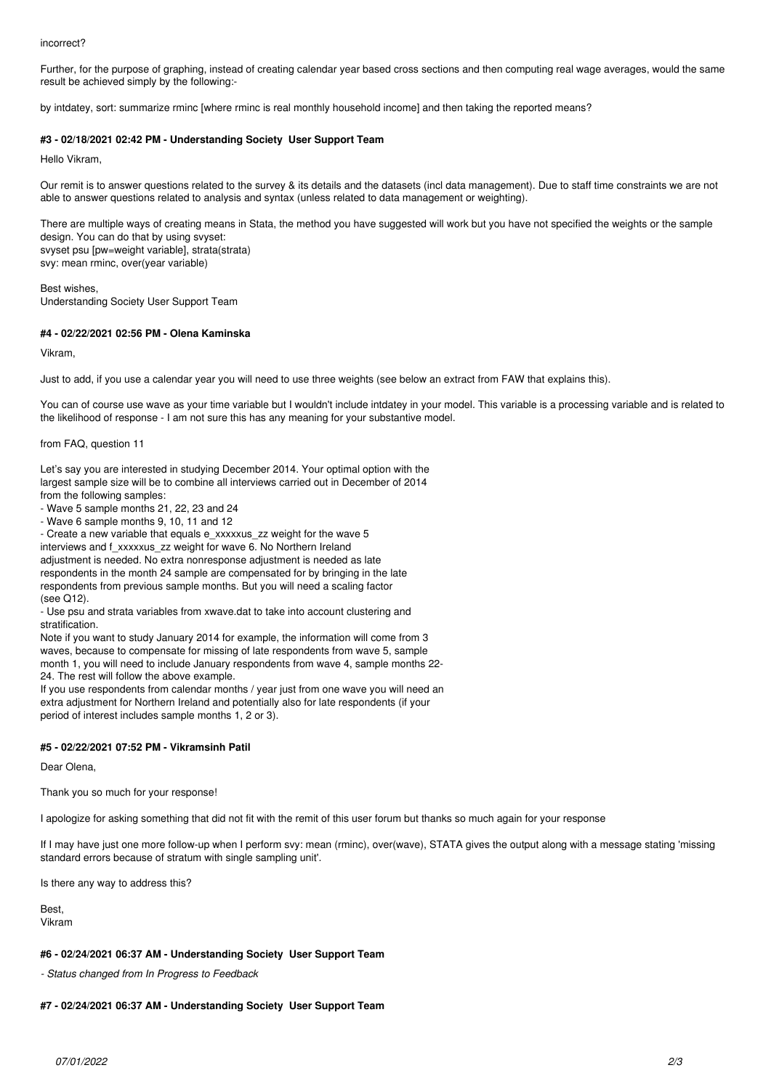#### incorrect?

Further, for the purpose of graphing, instead of creating calendar year based cross sections and then computing real wage averages, would the same result be achieved simply by the following:-

by intdatey, sort: summarize rminc [where rminc is real monthly household income] and then taking the reported means?

#### **#3 - 02/18/2021 02:42 PM - Understanding Society User Support Team**

Hello Vikram,

Our remit is to answer questions related to the survey & its details and the datasets (incl data management). Due to staff time constraints we are not able to answer questions related to analysis and syntax (unless related to data management or weighting).

There are multiple ways of creating means in Stata, the method you have suggested will work but you have not specified the weights or the sample design. You can do that by using svyset: svyset psu [pw=weight variable], strata(strata) svy: mean rminc, over(year variable)

Best wishes, Understanding Society User Support Team

#### **#4 - 02/22/2021 02:56 PM - Olena Kaminska**

Vikram,

Just to add, if you use a calendar year you will need to use three weights (see below an extract from FAW that explains this).

You can of course use wave as your time variable but I wouldn't include intdatey in your model. This variable is a processing variable and is related to the likelihood of response - I am not sure this has any meaning for your substantive model.

from FAQ, question 11

Let's say you are interested in studying December 2014. Your optimal option with the largest sample size will be to combine all interviews carried out in December of 2014 from the following samples:

- Wave 5 sample months 21, 22, 23 and 24

- Wave 6 sample months 9, 10, 11 and 12

- Create a new variable that equals e\_xxxxxus\_zz weight for the wave 5

interviews and f\_xxxxxus\_zz weight for wave 6. No Northern Ireland adjustment is needed. No extra nonresponse adjustment is needed as late respondents in the month 24 sample are compensated for by bringing in the late respondents from previous sample months. But you will need a scaling factor (see Q12).

- Use psu and strata variables from xwave.dat to take into account clustering and stratification.

Note if you want to study January 2014 for example, the information will come from 3 waves, because to compensate for missing of late respondents from wave 5, sample month 1, you will need to include January respondents from wave 4, sample months 22- 24. The rest will follow the above example.

If you use respondents from calendar months / year just from one wave you will need an extra adjustment for Northern Ireland and potentially also for late respondents (if your period of interest includes sample months 1, 2 or 3).

#### **#5 - 02/22/2021 07:52 PM - Vikramsinh Patil**

Dear Olena,

Thank you so much for your response!

I apologize for asking something that did not fit with the remit of this user forum but thanks so much again for your response

If I may have just one more follow-up when I perform svy: mean (rminc), over(wave), STATA gives the output along with a message stating 'missing standard errors because of stratum with single sampling unit'.

Is there any way to address this?

Best, Vikram

#### **#6 - 02/24/2021 06:37 AM - Understanding Society User Support Team**

*- Status changed from In Progress to Feedback*

#### **#7 - 02/24/2021 06:37 AM - Understanding Society User Support Team**